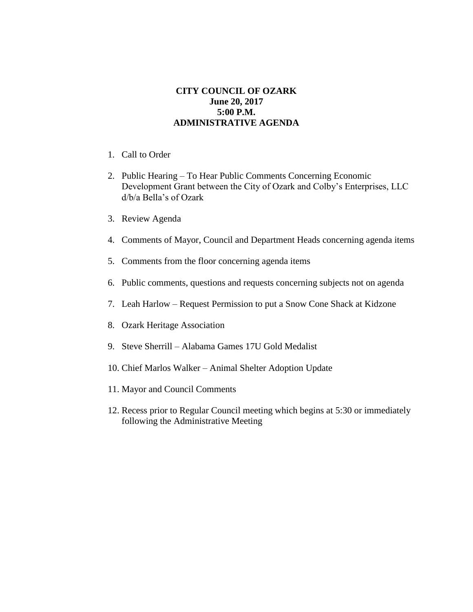## **CITY COUNCIL OF OZARK June 20, 2017 5:00 P.M. ADMINISTRATIVE AGENDA**

- 1. Call to Order
- 2. Public Hearing To Hear Public Comments Concerning Economic Development Grant between the City of Ozark and Colby's Enterprises, LLC d/b/a Bella's of Ozark
- 3. Review Agenda
- 4. Comments of Mayor, Council and Department Heads concerning agenda items
- 5. Comments from the floor concerning agenda items
- 6. Public comments, questions and requests concerning subjects not on agenda
- 7. Leah Harlow Request Permission to put a Snow Cone Shack at Kidzone
- 8. Ozark Heritage Association
- 9. Steve Sherrill Alabama Games 17U Gold Medalist
- 10. Chief Marlos Walker Animal Shelter Adoption Update
- 11. Mayor and Council Comments
- 12. Recess prior to Regular Council meeting which begins at 5:30 or immediately following the Administrative Meeting